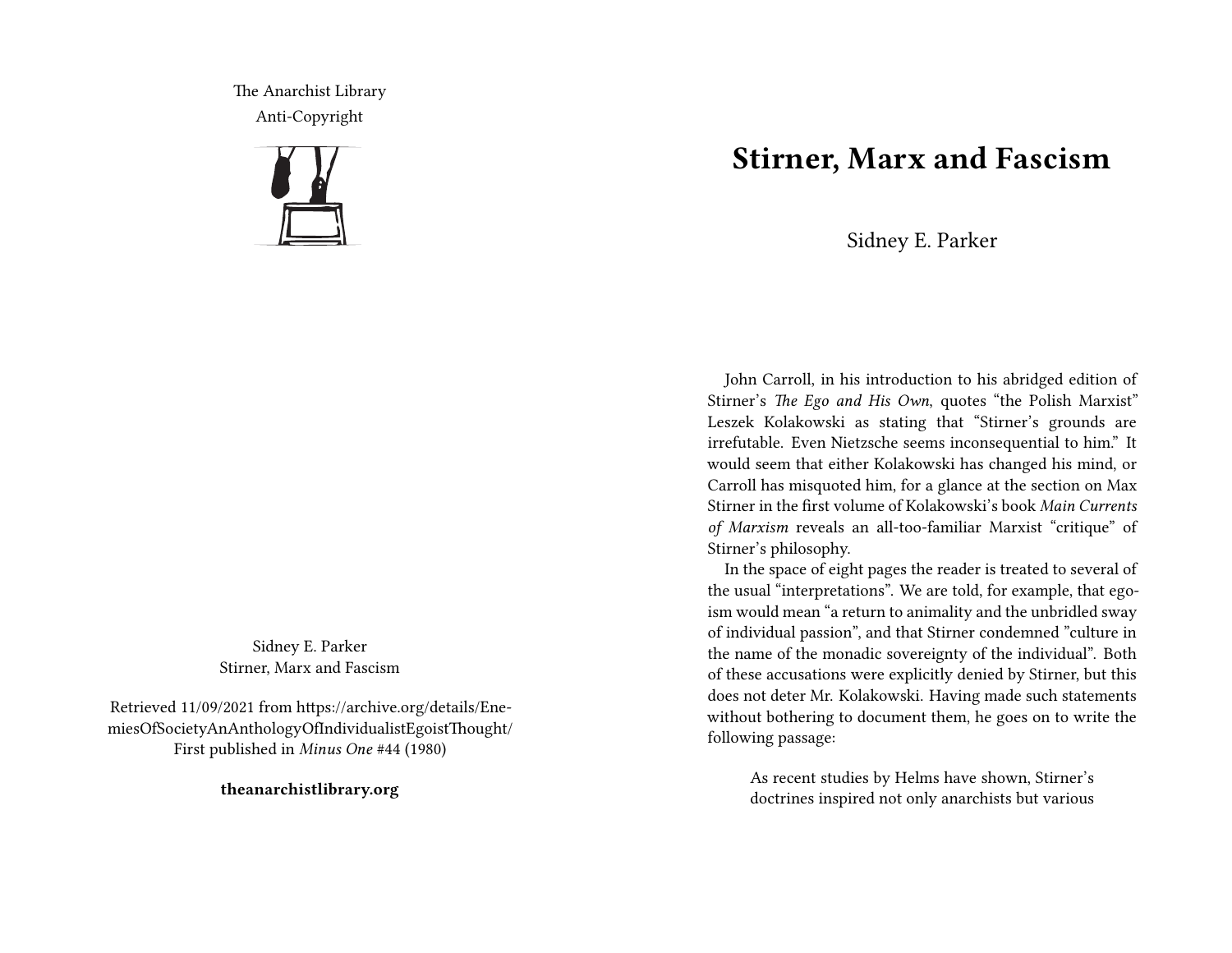The Anarchist Library Anti-Copyright



Sidney E. Parker Stirner, Marx and Fascism

Retrieved 11/09/2021 from https://archive.org/details/EnemiesOfSocietyAnAnthologyOfIndividualistEgoistThought/ First published in *Minus One* #44 (1980)

**theanarchistlibrary.org**

## **Stirner, Marx and Fascism**

Sidney E. Parker

John Carroll, in his introduction to his abridged edition of Stirner's *The Ego and His Own*, quotes "the Polish Marxist" Leszek Kolakowski as stating that "Stirner's grounds are irrefutable. Even Nietzsche seems inconsequential to him." It would seem that either Kolakowski has changed his mind, or Carroll has misquoted him, for a glance at the section on Max Stirner in the first volume of Kolakowski's book *Main Currents of Marxism* reveals an all-too-familiar Marxist "critique" of Stirner's philosophy.

In the space of eight pages the reader is treated to several of the usual "interpretations". We are told, for example, that egoism would mean "a return to animality and the unbridled sway of individual passion", and that Stirner condemned "culture in the name of the monadic sovereignty of the individual". Both of these accusations were explicitly denied by Stirner, but this does not deter Mr. Kolakowski. Having made such statements without bothering to document them, he goes on to write the following passage:

As recent studies by Helms have shown, Stirner's doctrines inspired not only anarchists but various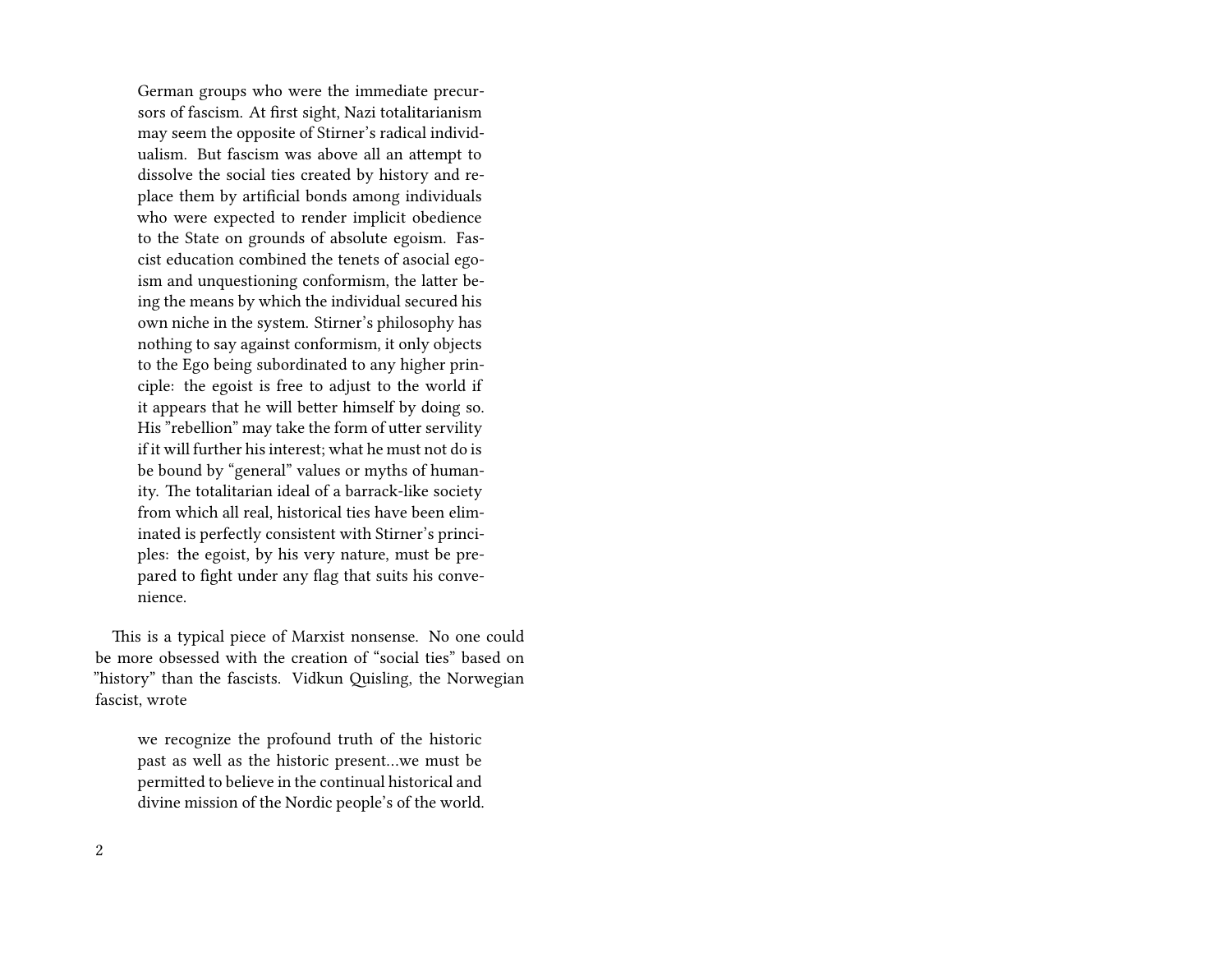German groups who were the immediate precursors of fascism. At first sight, Nazi totalitarianism may seem the opposite of Stirner's radical individualism. But fascism was above all an attempt to dissolve the social ties created by history and replace them by artificial bonds among individuals who were expected to render implicit obedience to the State on grounds of absolute egoism. Fascist education combined the tenets of asocial egoism and unquestioning conformism, the latter being the means by which the individual secured his own niche in the system. Stirner's philosophy has nothing to say against conformism, it only objects to the Ego being subordinated to any higher principle: the egoist is free to adjust to the world if it appears that he will better himself by doing so. His "rebellion" may take the form of utter servility if it will further his interest; what he must not do is be bound by "general" values or myths of humanity. The totalitarian ideal of a barrack-like society from which all real, historical ties have been eliminated is perfectly consistent with Stirner's principles: the egoist, by his very nature, must be prepared to fight under any flag that suits his convenience.

This is a typical piece of Marxist nonsense. No one could be more obsessed with the creation of "social ties" based on "history" than the fascists. Vidkun Quisling, the Norwegian fascist, wrote

we recognize the profound truth of the historic past as well as the historic present…we must be permitted to believe in the continual historical and divine mission of the Nordic people's of the world.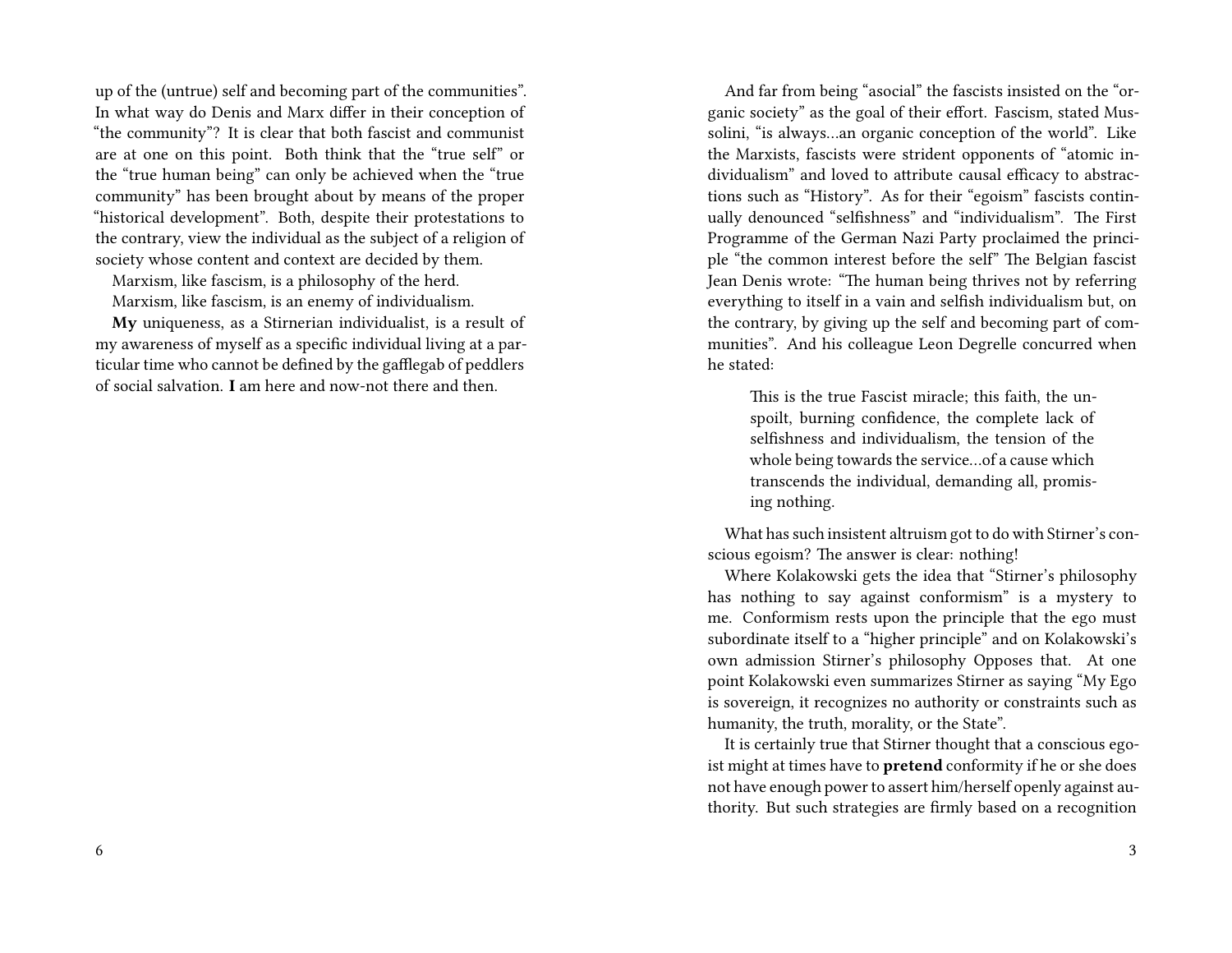up of the (untrue) self and becoming part of the communities". In what way do Denis and Marx differ in their conception of "the community"? It is clear that both fascist and communist are at one on this point. Both think that the "true self" or the "true human being" can only be achieved when the "true community" has been brought about by means of the proper "historical development". Both, despite their protestations to the contrary, view the individual as the subject of a religion of society whose content and context are decided by them.

Marxism, like fascism, is a philosophy of the herd.

Marxism, like fascism, is an enemy of individualism.

**My** uniqueness, as a Stirnerian individualist, is a result of my awareness of myself as a specific individual living at a particular time who cannot be defined by the gafflegab of peddlers of social salvation. **I** am here and now-not there and then.

And far from being "asocial" the fascists insisted on the "organic society" as the goal of their effort. Fascism, stated Mussolini, "is always…an organic conception of the world". Like the Marxists, fascists were strident opponents of "atomic individualism" and loved to attribute causal efficacy to abstractions such as "History". As for their "egoism" fascists continually denounced "selfishness" and "individualism". The First Programme of the German Nazi Party proclaimed the principle "the common interest before the self" The Belgian fascist Jean Denis wrote: "The human being thrives not by referring everything to itself in a vain and selfish individualism but, on the contrary, by giving up the self and becoming part of communities". And his colleague Leon Degrelle concurred when he stated:

This is the true Fascist miracle; this faith, the unspoilt, burning confidence, the complete lack of selfishness and individualism, the tension of the whole being towards the service…of a cause which transcends the individual, demanding all, promising nothing.

What has such insistent altruism got to do with Stirner's conscious egoism? The answer is clear: nothing!

Where Kolakowski gets the idea that "Stirner's philosophy has nothing to say against conformism" is a mystery to me. Conformism rests upon the principle that the ego must subordinate itself to a "higher principle" and on Kolakowski's own admission Stirner's philosophy Opposes that. At one point Kolakowski even summarizes Stirner as saying "My Ego is sovereign, it recognizes no authority or constraints such as humanity, the truth, morality, or the State".

It is certainly true that Stirner thought that a conscious egoist might at times have to **pretend** conformity if he or she does not have enough power to assert him/herself openly against authority. But such strategies are firmly based on a recognition